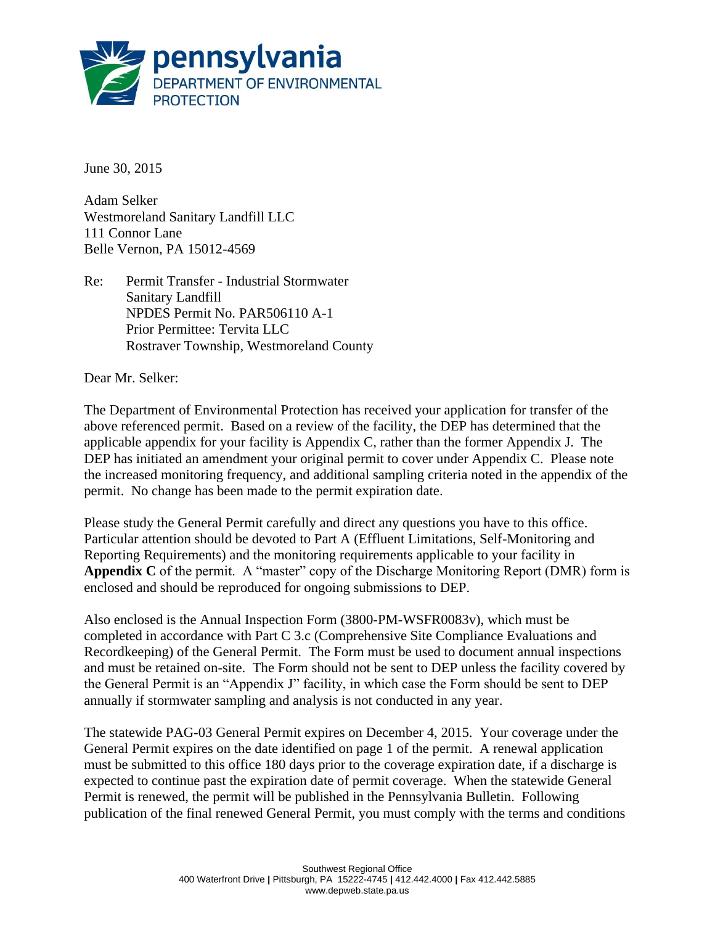

June 30, 2015

Adam Selker Westmoreland Sanitary Landfill LLC 111 Connor Lane Belle Vernon, PA 15012-4569

Re: Permit Transfer - Industrial Stormwater Sanitary Landfill NPDES Permit No. PAR506110 A-1 Prior Permittee: Tervita LLC Rostraver Township, Westmoreland County

Dear Mr. Selker:

The Department of Environmental Protection has received your application for transfer of the above referenced permit. Based on a review of the facility, the DEP has determined that the applicable appendix for your facility is Appendix C, rather than the former Appendix J. The DEP has initiated an amendment your original permit to cover under Appendix C. Please note the increased monitoring frequency, and additional sampling criteria noted in the appendix of the permit. No change has been made to the permit expiration date.

Please study the General Permit carefully and direct any questions you have to this office. Particular attention should be devoted to Part A (Effluent Limitations, Self-Monitoring and Reporting Requirements) and the monitoring requirements applicable to your facility in **Appendix C** of the permit. A "master" copy of the Discharge Monitoring Report (DMR) form is enclosed and should be reproduced for ongoing submissions to DEP.

Also enclosed is the Annual Inspection Form (3800-PM-WSFR0083v), which must be completed in accordance with Part C 3.c (Comprehensive Site Compliance Evaluations and Recordkeeping) of the General Permit. The Form must be used to document annual inspections and must be retained on-site. The Form should not be sent to DEP unless the facility covered by the General Permit is an "Appendix J" facility, in which case the Form should be sent to DEP annually if stormwater sampling and analysis is not conducted in any year.

The statewide PAG-03 General Permit expires on December 4, 2015. Your coverage under the General Permit expires on the date identified on page 1 of the permit. A renewal application must be submitted to this office 180 days prior to the coverage expiration date, if a discharge is expected to continue past the expiration date of permit coverage. When the statewide General Permit is renewed, the permit will be published in the Pennsylvania Bulletin. Following publication of the final renewed General Permit, you must comply with the terms and conditions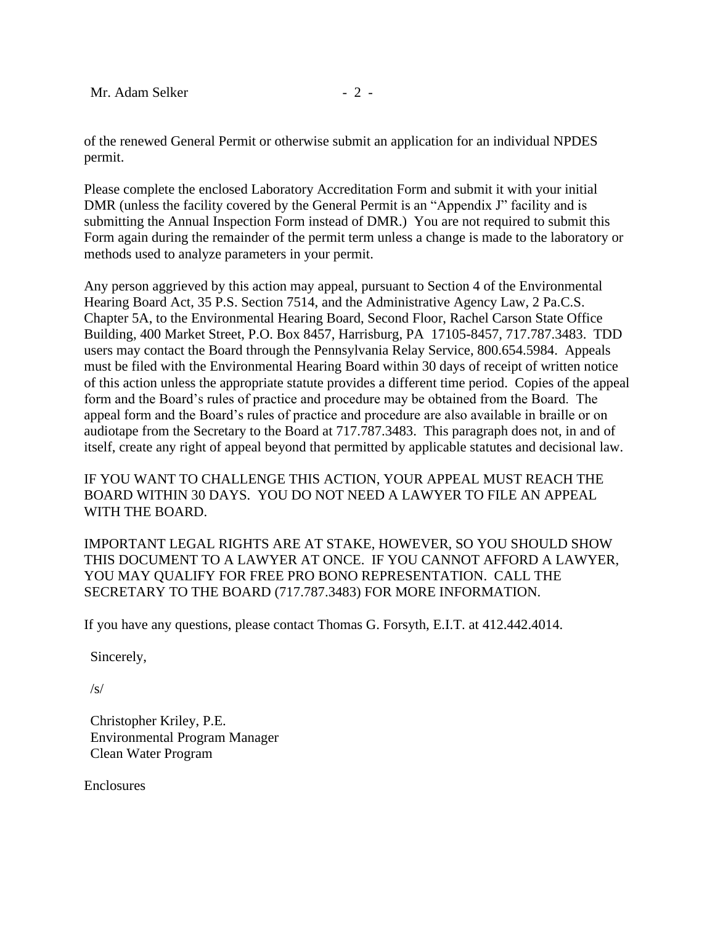of the renewed General Permit or otherwise submit an application for an individual NPDES permit.

Please complete the enclosed Laboratory Accreditation Form and submit it with your initial DMR (unless the facility covered by the General Permit is an "Appendix J" facility and is submitting the Annual Inspection Form instead of DMR.) You are not required to submit this Form again during the remainder of the permit term unless a change is made to the laboratory or methods used to analyze parameters in your permit.

Any person aggrieved by this action may appeal, pursuant to Section 4 of the Environmental Hearing Board Act, 35 P.S. Section 7514, and the Administrative Agency Law, 2 Pa.C.S. Chapter 5A, to the Environmental Hearing Board, Second Floor, Rachel Carson State Office Building, 400 Market Street, P.O. Box 8457, Harrisburg, PA 17105-8457, 717.787.3483. TDD users may contact the Board through the Pennsylvania Relay Service, 800.654.5984. Appeals must be filed with the Environmental Hearing Board within 30 days of receipt of written notice of this action unless the appropriate statute provides a different time period. Copies of the appeal form and the Board's rules of practice and procedure may be obtained from the Board. The appeal form and the Board's rules of practice and procedure are also available in braille or on audiotape from the Secretary to the Board at 717.787.3483. This paragraph does not, in and of itself, create any right of appeal beyond that permitted by applicable statutes and decisional law.

IF YOU WANT TO CHALLENGE THIS ACTION, YOUR APPEAL MUST REACH THE BOARD WITHIN 30 DAYS. YOU DO NOT NEED A LAWYER TO FILE AN APPEAL WITH THE BOARD.

IMPORTANT LEGAL RIGHTS ARE AT STAKE, HOWEVER, SO YOU SHOULD SHOW THIS DOCUMENT TO A LAWYER AT ONCE. IF YOU CANNOT AFFORD A LAWYER, YOU MAY QUALIFY FOR FREE PRO BONO REPRESENTATION. CALL THE SECRETARY TO THE BOARD (717.787.3483) FOR MORE INFORMATION.

If you have any questions, please contact Thomas G. Forsyth, E.I.T. at 412.442.4014.

Sincerely,

/s/

Christopher Kriley, P.E. Environmental Program Manager Clean Water Program

Enclosures